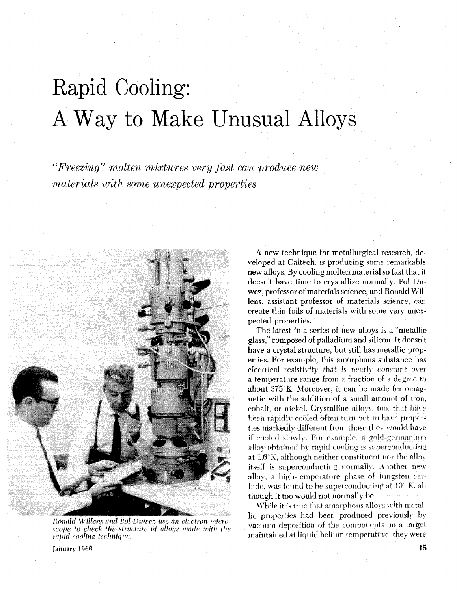## Rapid Cooling: A Way to Make Unusual Alloys

"Freezing" molten mixtures very fast can produce new materials with some unexpected properties



Ronald Willens and Pol Duwez use an electron microscope to check the structure of alloys made with the rapid cooling technique.

A new technique for metallurgical research, developed at Caltech, is producing some remarkable new alloys. By cooling molten material so fast that it doesn't have time to crystallize normally. Pol Duwez, professor of materials science, and Ronald Willens, assistant professor of materials science, can create thin foils of materials with some very unexpected properties.

The latest in a series of new alloys is a "metallic glass," composed of palladium and silicon. It doesn't have a crystal structure, but still has metallic properties. For example, this amorphous substance has electrical resistivity that is nearly constant over a temperature range from a fraction of a degree to about 375°K. Moreover, it can be made ferromagnetic with the addition of a small amount of iron, cobalt, or nickel. Crystalline alloys, too, that have been rapidly cooled often turn out to have properties markedly different from those they would have if cooled slowly. For example, a gold-germanium alloy obtained by rapid cooling is superconducting at 1.6°K, although neither constituent nor the alloy itself is superconducting normally. Another new alloy, a high-temperature phase of tungsten carbide, was found to be superconducting at  $10^{\circ}$  K, although it too would not normally be.

While it is true that amorphous alloys with metallic properties had been produced previously by vacuum deposition of the components on a target maintained at liquid helium temperature, they were

January 1966